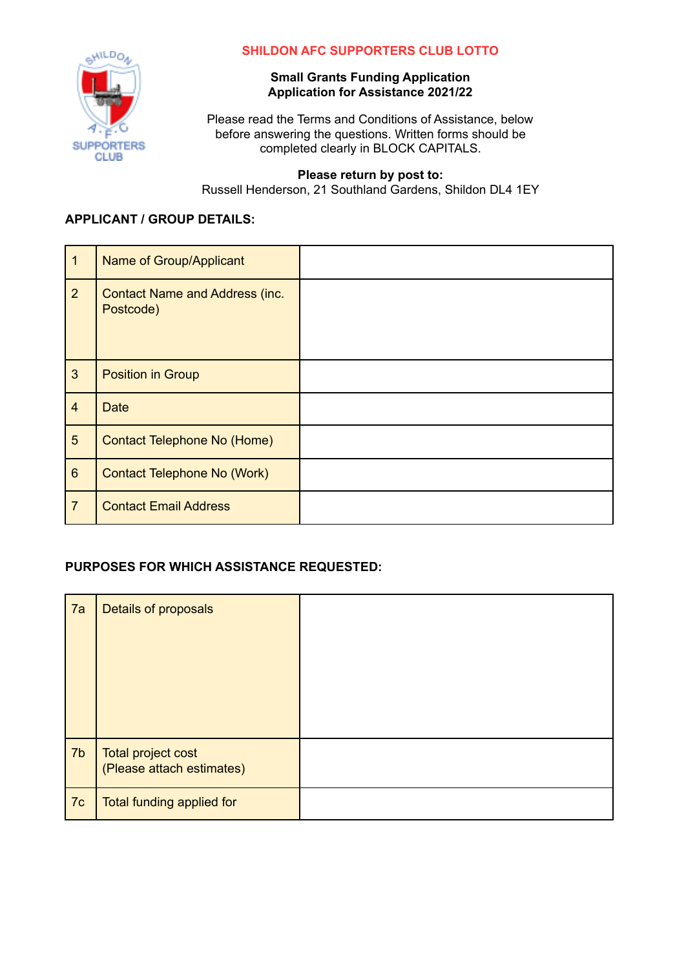

### **SHILDON AFC SUPPORTERS CLUB LOTTO**

### **Small Grants Funding Application Application for Assistance 2021/22**

Please read the Terms and Conditions of Assistance, below before answering the questions. Written forms should be completed clearly in BLOCK CAPITALS.

#### **Please return by post to:**

Russell Henderson, 21 Southland Gardens, Shildon DL4 1EY

### **APPLICANT / GROUP DETAILS:**

| 1              | Name of Group/Applicant                            |  |
|----------------|----------------------------------------------------|--|
| $\overline{2}$ | <b>Contact Name and Address (inc.</b><br>Postcode) |  |
| $\mathbf{3}$   | <b>Position in Group</b>                           |  |
| $\overline{4}$ | <b>Date</b>                                        |  |
| $5\phantom{.}$ | <b>Contact Telephone No (Home)</b>                 |  |
| $6\phantom{1}$ | <b>Contact Telephone No (Work)</b>                 |  |
| $\overline{7}$ | <b>Contact Email Address</b>                       |  |

### **PURPOSES FOR WHICH ASSISTANCE REQUESTED:**

| 7a | Details of proposals                            |  |
|----|-------------------------------------------------|--|
| 7b | Total project cost<br>(Please attach estimates) |  |
| 7c | Total funding applied for                       |  |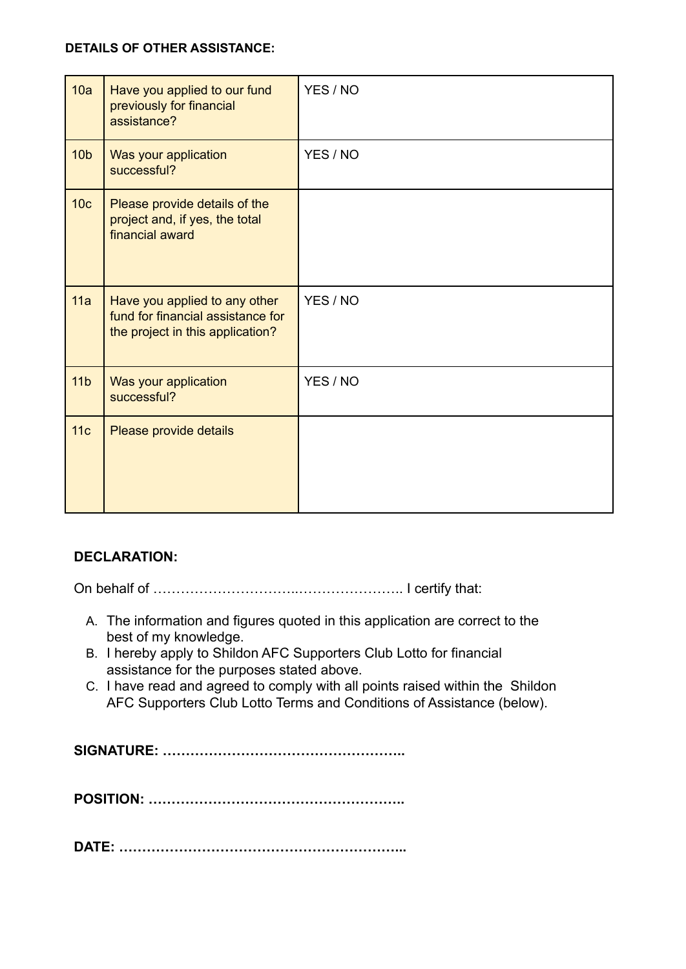## **DETAILS OF OTHER ASSISTANCE:**

| 10a             | Have you applied to our fund<br>previously for financial<br>assistance?                                | YES / NO |
|-----------------|--------------------------------------------------------------------------------------------------------|----------|
| 10 <sub>b</sub> | Was your application<br>successful?                                                                    | YES / NO |
| 10 <sub>c</sub> | Please provide details of the<br>project and, if yes, the total<br>financial award                     |          |
| 11a             | Have you applied to any other<br>fund for financial assistance for<br>the project in this application? | YES / NO |
| 11 <sub>b</sub> | Was your application<br>successful?                                                                    | YES / NO |
| 11c             | Please provide details                                                                                 |          |

# **DECLARATION:**

On behalf of …………………………..………………….. I certify that:

- A. The information and figures quoted in this application are correct to the best of my knowledge.
- B. I hereby apply to Shildon AFC Supporters Club Lotto for financial assistance for the purposes stated above.
- C. I have read and agreed to comply with all points raised within the Shildon AFC Supporters Club Lotto Terms and Conditions of Assistance (below).

**SIGNATURE: ……………………………………………..**

**POSITION: ………………………………………………..**

**DATE: ……………………………………………………...**